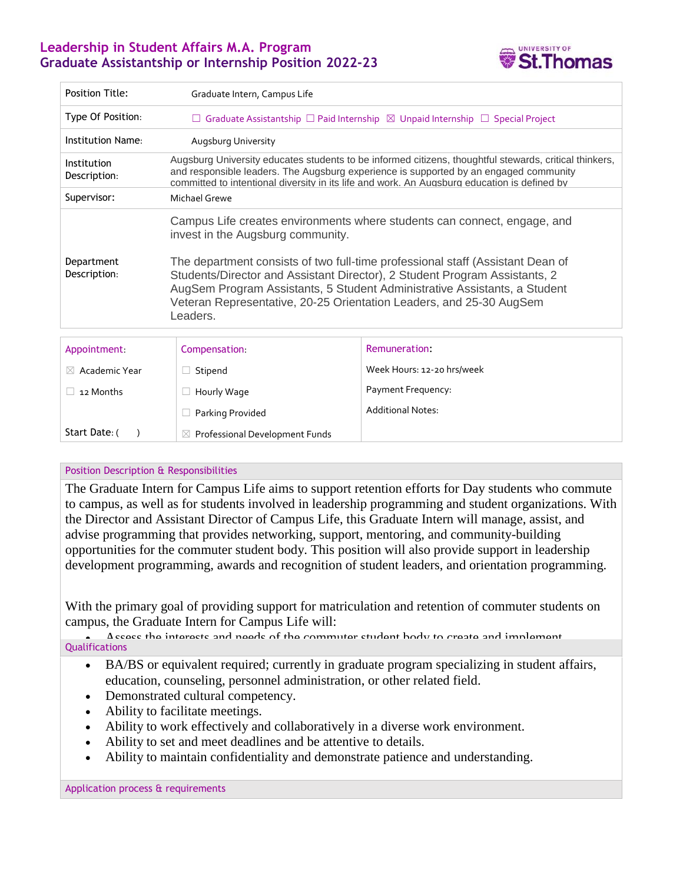## **Leadership in Student Affairs M.A. Program Graduate Assistantship or Internship Position 2022-23**



| <b>Position Title:</b>      | Graduate Intern, Campus Life                                                                                                                                                                                                                                                                                                                                                                                                                  |                            |
|-----------------------------|-----------------------------------------------------------------------------------------------------------------------------------------------------------------------------------------------------------------------------------------------------------------------------------------------------------------------------------------------------------------------------------------------------------------------------------------------|----------------------------|
| Type Of Position:           | $\Box$ Graduate Assistantship $\Box$ Paid Internship $\boxtimes$ Unpaid Internship $\Box$ Special Project                                                                                                                                                                                                                                                                                                                                     |                            |
| Institution Name:           | Augsburg University                                                                                                                                                                                                                                                                                                                                                                                                                           |                            |
| Institution<br>Description: | Augsburg University educates students to be informed citizens, thoughtful stewards, critical thinkers,<br>and responsible leaders. The Augsburg experience is supported by an engaged community<br>committed to intentional diversity in its life and work. An Augsburg education is defined by                                                                                                                                               |                            |
| Supervisor:                 | Michael Grewe                                                                                                                                                                                                                                                                                                                                                                                                                                 |                            |
| Department<br>Description:  | Campus Life creates environments where students can connect, engage, and<br>invest in the Augsburg community.<br>The department consists of two full-time professional staff (Assistant Dean of<br>Students/Director and Assistant Director), 2 Student Program Assistants, 2<br>AugSem Program Assistants, 5 Student Administrative Assistants, a Student<br>Veteran Representative, 20-25 Orientation Leaders, and 25-30 AugSem<br>Leaders. |                            |
| Appointment                 | Compensation:                                                                                                                                                                                                                                                                                                                                                                                                                                 | Remuneration:              |
| Academic Year<br>$\times$   | Stipend                                                                                                                                                                                                                                                                                                                                                                                                                                       | Week Hours: 12-20 hrs/week |
| 12 Months                   | Hourly Wage                                                                                                                                                                                                                                                                                                                                                                                                                                   | Payment Frequency:         |

Start Date: () ☒ Professional Development Funds

☐ Parking Provided

## Position Description & Responsibilities

The Graduate Intern for Campus Life aims to support retention efforts for Day students who commute to campus, as well as for students involved in leadership programming and student organizations. With the Director and Assistant Director of Campus Life, this Graduate Intern will manage, assist, and advise programming that provides networking, support, mentoring, and community-building opportunities for the commuter student body. This position will also provide support in leadership development programming, awards and recognition of student leaders, and orientation programming.

Additional Notes:

With the primary goal of providing support for matriculation and retention of commuter students on campus, the Graduate Intern for Campus Life will:

A sease the interests and needs of the commuter student hody to create and implement comprehensive and developmental student programming that encourages involvement and development and developmen<br>That encourages involvement and development and development and development and development and development an **Qualifications** 

- BA/BS or equivalent required; currently in graduate program specializing in student affairs, education, counseling, personnel administration, or other related field.
- Demonstrated cultural competency.
- Ability to facilitate meetings.
- Ability to work effectively and collaboratively in a diverse work environment.
- Ability to set and meet deadlines and be attentive to details.
- Ability to maintain confidentiality and demonstrate patience and understanding.

 Co-advise the Augsburg Student Activities Council and Day Student Government to assist in Application process & requirements **body.**